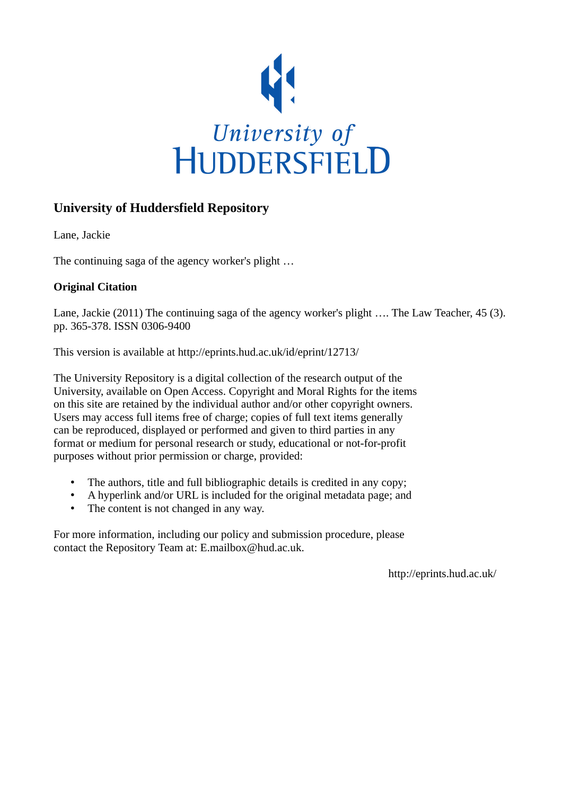

## **University of Huddersfield Repository**

Lane, Jackie

The continuing saga of the agency worker's plight …

## **Original Citation**

Lane, Jackie (2011) The continuing saga of the agency worker's plight …. The Law Teacher, 45 (3). pp. 365-378. ISSN 0306-9400

This version is available at http://eprints.hud.ac.uk/id/eprint/12713/

The University Repository is a digital collection of the research output of the University, available on Open Access. Copyright and Moral Rights for the items on this site are retained by the individual author and/or other copyright owners. Users may access full items free of charge; copies of full text items generally can be reproduced, displayed or performed and given to third parties in any format or medium for personal research or study, educational or not-for-profit purposes without prior permission or charge, provided:

- The authors, title and full bibliographic details is credited in any copy;
- A hyperlink and/or URL is included for the original metadata page; and
- The content is not changed in any way.

For more information, including our policy and submission procedure, please contact the Repository Team at: E.mailbox@hud.ac.uk.

http://eprints.hud.ac.uk/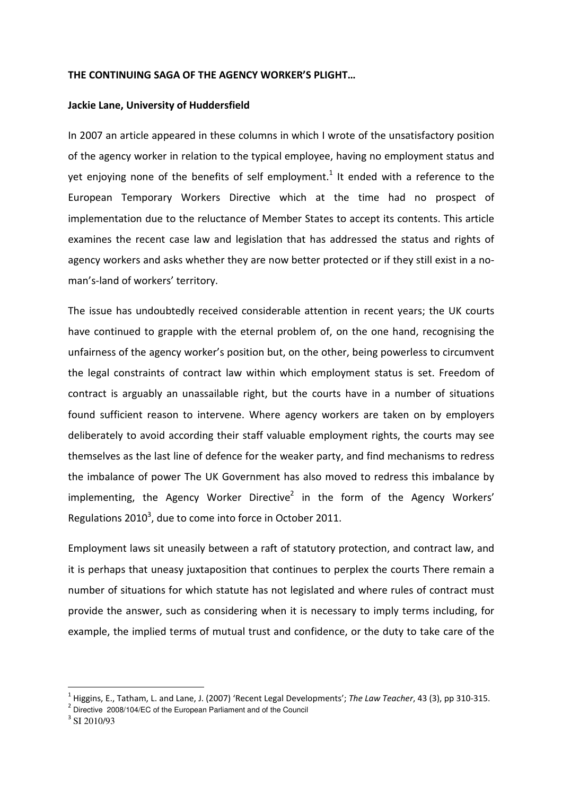## THE CONTINUING SAGA OF THE AGENCY WORKER'S PLIGHT…

## Jackie Lane, University of Huddersfield

In 2007 an article appeared in these columns in which I wrote of the unsatisfactory position of the agency worker in relation to the typical employee, having no employment status and yet enjoying none of the benefits of self employment.<sup>1</sup> It ended with a reference to the European Temporary Workers Directive which at the time had no prospect of implementation due to the reluctance of Member States to accept its contents. This article examines the recent case law and legislation that has addressed the status and rights of agency workers and asks whether they are now better protected or if they still exist in a noman's-land of workers' territory.

The issue has undoubtedly received considerable attention in recent years; the UK courts have continued to grapple with the eternal problem of, on the one hand, recognising the unfairness of the agency worker's position but, on the other, being powerless to circumvent the legal constraints of contract law within which employment status is set. Freedom of contract is arguably an unassailable right, but the courts have in a number of situations found sufficient reason to intervene. Where agency workers are taken on by employers deliberately to avoid according their staff valuable employment rights, the courts may see themselves as the last line of defence for the weaker party, and find mechanisms to redress the imbalance of power The UK Government has also moved to redress this imbalance by implementing, the Agency Worker Directive<sup>2</sup> in the form of the Agency Workers' Regulations 2010<sup>3</sup>, due to come into force in October 2011.

Employment laws sit uneasily between a raft of statutory protection, and contract law, and it is perhaps that uneasy juxtaposition that continues to perplex the courts There remain a number of situations for which statute has not legislated and where rules of contract must provide the answer, such as considering when it is necessary to imply terms including, for example, the implied terms of mutual trust and confidence, or the duty to take care of the

<sup>1</sup> Higgins, E., Tatham, L. and Lane, J. (2007) 'Recent Legal Developments'; The Law Teacher, 43 (3), pp 310-315.

 $2$  Directive 2008/104/EC of the European Parliament and of the Council

<sup>&</sup>lt;sup>3</sup> SI 2010/93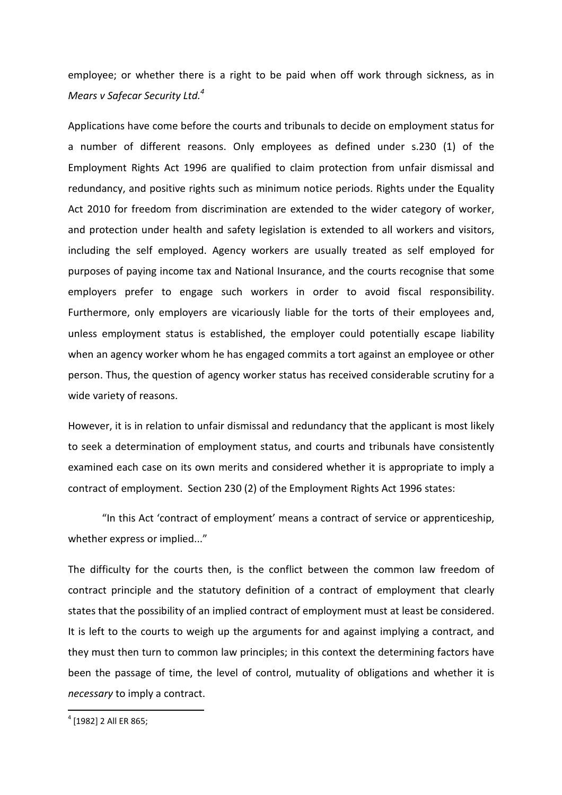employee; or whether there is a right to be paid when off work through sickness, as in Mears v Safecar Security Ltd.<sup>4</sup>

Applications have come before the courts and tribunals to decide on employment status for a number of different reasons. Only employees as defined under s.230 (1) of the Employment Rights Act 1996 are qualified to claim protection from unfair dismissal and redundancy, and positive rights such as minimum notice periods. Rights under the Equality Act 2010 for freedom from discrimination are extended to the wider category of worker, and protection under health and safety legislation is extended to all workers and visitors, including the self employed. Agency workers are usually treated as self employed for purposes of paying income tax and National Insurance, and the courts recognise that some employers prefer to engage such workers in order to avoid fiscal responsibility. Furthermore, only employers are vicariously liable for the torts of their employees and, unless employment status is established, the employer could potentially escape liability when an agency worker whom he has engaged commits a tort against an employee or other person. Thus, the question of agency worker status has received considerable scrutiny for a wide variety of reasons.

However, it is in relation to unfair dismissal and redundancy that the applicant is most likely to seek a determination of employment status, and courts and tribunals have consistently examined each case on its own merits and considered whether it is appropriate to imply a contract of employment. Section 230 (2) of the Employment Rights Act 1996 states:

 "In this Act 'contract of employment' means a contract of service or apprenticeship, whether express or implied..."

The difficulty for the courts then, is the conflict between the common law freedom of contract principle and the statutory definition of a contract of employment that clearly states that the possibility of an implied contract of employment must at least be considered. It is left to the courts to weigh up the arguments for and against implying a contract, and they must then turn to common law principles; in this context the determining factors have been the passage of time, the level of control, mutuality of obligations and whether it is necessary to imply a contract.

 $^{4}$  [1982] 2 All ER 865;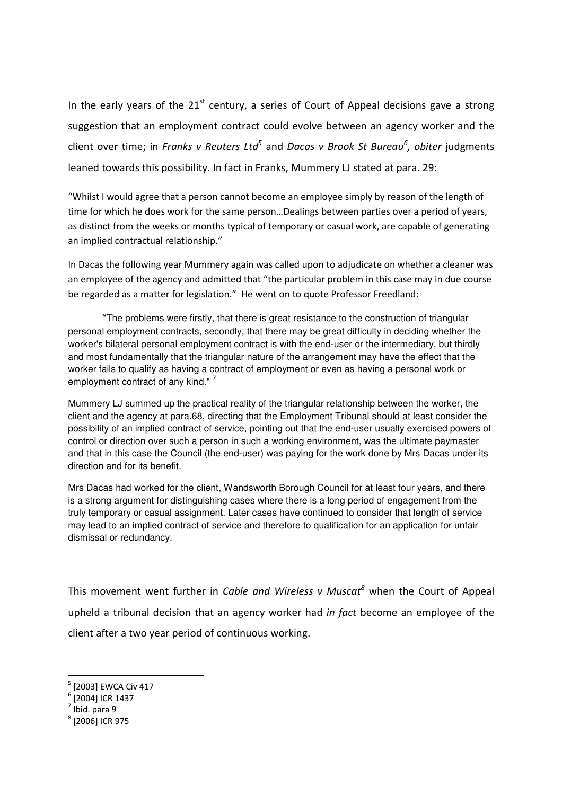In the early years of the  $21<sup>st</sup>$  century, a series of Court of Appeal decisions gave a strong suggestion that an employment contract could evolve between an agency worker and the client over time; in Franks v Reuters Ltd<sup>5</sup> and Dacas v Brook St Bureau<sup>6</sup>, obiter judgments leaned towards this possibility. In fact in Franks, Mummery LJ stated at para. 29:

"Whilst I would agree that a person cannot become an employee simply by reason of the length of time for which he does work for the same person…Dealings between parties over a period of years, as distinct from the weeks or months typical of temporary or casual work, are capable of generating an implied contractual relationship."

In Dacas the following year Mummery again was called upon to adjudicate on whether a cleaner was an employee of the agency and admitted that "the particular problem in this case may in due course be regarded as a matter for legislation." He went on to quote Professor Freedland:

 "The problems were firstly, that there is great resistance to the construction of triangular personal employment contracts, secondly, that there may be great difficulty in deciding whether the worker's bilateral personal employment contract is with the end-user or the intermediary, but thirdly and most fundamentally that the triangular nature of the arrangement may have the effect that the worker fails to qualify as having a contract of employment or even as having a personal work or employment contract of any kind."<sup>7</sup>

Mummery LJ summed up the practical reality of the triangular relationship between the worker, the client and the agency at para.68, directing that the Employment Tribunal should at least consider the possibility of an implied contract of service, pointing out that the end-user usually exercised powers of control or direction over such a person in such a working environment, was the ultimate paymaster and that in this case the Council (the end-user) was paying for the work done by Mrs Dacas under its direction and for its benefit.

Mrs Dacas had worked for the client, Wandsworth Borough Council for at least four years, and there is a strong argument for distinguishing cases where there is a long period of engagement from the truly temporary or casual assignment. Later cases have continued to consider that length of service may lead to an implied contract of service and therefore to qualification for an application for unfair dismissal or redundancy.

This movement went further in Cable and Wireless v Muscat<sup>8</sup> when the Court of Appeal upheld a tribunal decision that an agency worker had in fact become an employee of the client after a two year period of continuous working.

<sup>&</sup>lt;sup>5</sup> [2003] EWCA Civ 417

 $^6$  [2004] ICR 1437

 $<sup>7</sup>$  Ibid. para 9</sup>

<sup>8</sup> [2006] ICR 975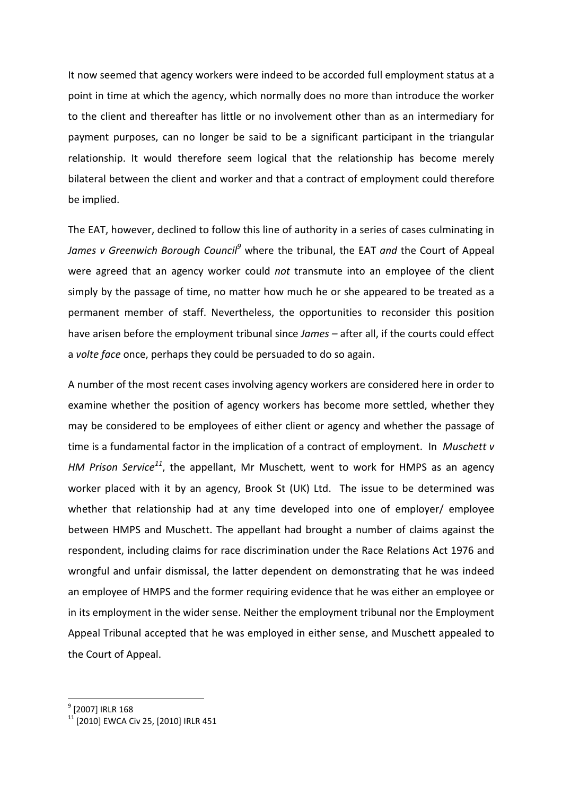It now seemed that agency workers were indeed to be accorded full employment status at a point in time at which the agency, which normally does no more than introduce the worker to the client and thereafter has little or no involvement other than as an intermediary for payment purposes, can no longer be said to be a significant participant in the triangular relationship. It would therefore seem logical that the relationship has become merely bilateral between the client and worker and that a contract of employment could therefore be implied.

The EAT, however, declined to follow this line of authority in a series of cases culminating in James v Greenwich Borough Council<sup>9</sup> where the tribunal, the EAT and the Court of Appeal were agreed that an agency worker could not transmute into an employee of the client simply by the passage of time, no matter how much he or she appeared to be treated as a permanent member of staff. Nevertheless, the opportunities to reconsider this position have arisen before the employment tribunal since James – after all, if the courts could effect a volte face once, perhaps they could be persuaded to do so again.

A number of the most recent cases involving agency workers are considered here in order to examine whether the position of agency workers has become more settled, whether they may be considered to be employees of either client or agency and whether the passage of time is a fundamental factor in the implication of a contract of employment. In Muschett v HM Prison Service<sup>11</sup>, the appellant, Mr Muschett, went to work for HMPS as an agency worker placed with it by an agency, Brook St (UK) Ltd. The issue to be determined was whether that relationship had at any time developed into one of employer/ employee between HMPS and Muschett. The appellant had brought a number of claims against the respondent, including claims for race discrimination under the Race Relations Act 1976 and wrongful and unfair dismissal, the latter dependent on demonstrating that he was indeed an employee of HMPS and the former requiring evidence that he was either an employee or in its employment in the wider sense. Neither the employment tribunal nor the Employment Appeal Tribunal accepted that he was employed in either sense, and Muschett appealed to the Court of Appeal.

 $^9$  [2007] IRLR 168

 $^{12}$  [2007] EWCA Civ 25, [2010] IRLR 451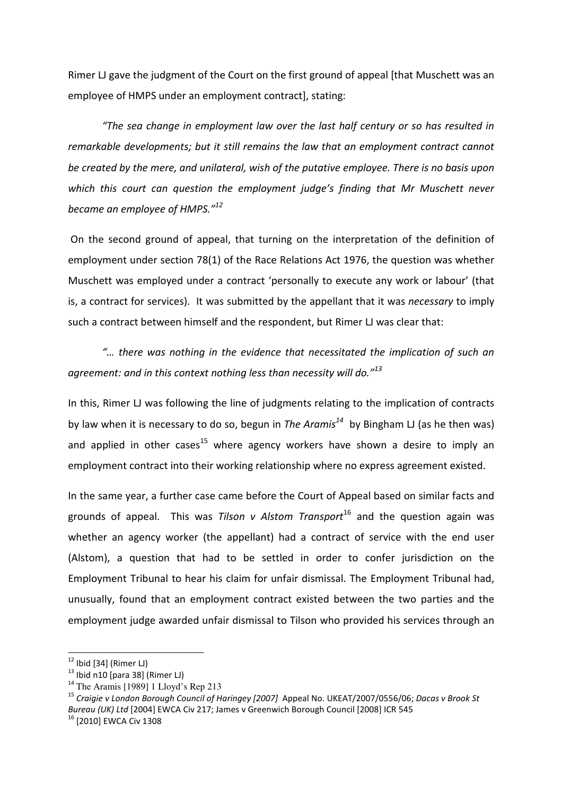Rimer LJ gave the judgment of the Court on the first ground of appeal [that Muschett was an employee of HMPS under an employment contract], stating:

"The sea change in employment law over the last half century or so has resulted in remarkable developments; but it still remains the law that an employment contract cannot be created by the mere, and unilateral, wish of the putative employee. There is no basis upon which this court can question the employment judge's finding that Mr Muschett never became an employee of HMPS."<sup>12</sup>

 On the second ground of appeal, that turning on the interpretation of the definition of employment under section 78(1) of the Race Relations Act 1976, the question was whether Muschett was employed under a contract 'personally to execute any work or labour' (that is, a contract for services). It was submitted by the appellant that it was *necessary* to imply such a contract between himself and the respondent, but Rimer LJ was clear that:

"… there was nothing in the evidence that necessitated the implication of such an agreement: and in this context nothing less than necessity will do. $"^{13}$ 

In this, Rimer LJ was following the line of judgments relating to the implication of contracts by law when it is necessary to do so, begun in The Aramis<sup>14</sup> by Bingham LJ (as he then was) and applied in other cases<sup>15</sup> where agency workers have shown a desire to imply an employment contract into their working relationship where no express agreement existed.

In the same year, a further case came before the Court of Appeal based on similar facts and grounds of appeal. This was Tilson v Alstom Transport<sup>16</sup> and the question again was whether an agency worker (the appellant) had a contract of service with the end user (Alstom), a question that had to be settled in order to confer jurisdiction on the Employment Tribunal to hear his claim for unfair dismissal. The Employment Tribunal had, unusually, found that an employment contract existed between the two parties and the employment judge awarded unfair dismissal to Tilson who provided his services through an

 $12$  Ibid [34] (Rimer LJ)

 $13$  Ibid n10 [para 38] (Rimer LJ)

 $14$  The Aramis [1989] 1 Lloyd's Rep 213

<sup>&</sup>lt;sup>15</sup> Craigie v London Borough Council of Haringey [2007] Appeal No. UKEAT/2007/0556/06; Dacas v Brook St Bureau (UK) Ltd [2004] EWCA Civ 217; James v Greenwich Borough Council [2008] ICR 545

<sup>16</sup> [2010] EWCA Civ 1308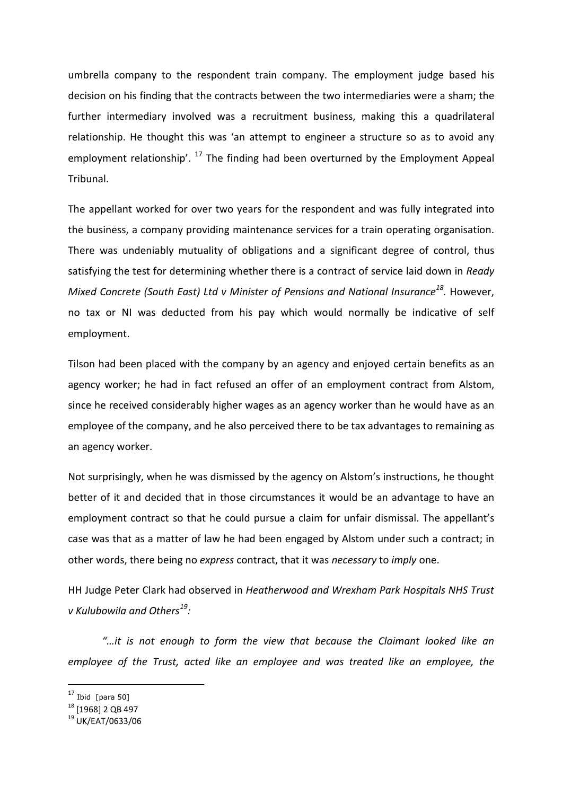umbrella company to the respondent train company. The employment judge based his decision on his finding that the contracts between the two intermediaries were a sham; the further intermediary involved was a recruitment business, making this a quadrilateral relationship. He thought this was 'an attempt to engineer a structure so as to avoid any employment relationship'.  $^{17}$  The finding had been overturned by the Employment Appeal Tribunal.

The appellant worked for over two years for the respondent and was fully integrated into the business, a company providing maintenance services for a train operating organisation. There was undeniably mutuality of obligations and a significant degree of control, thus satisfying the test for determining whether there is a contract of service laid down in Ready Mixed Concrete (South East) Ltd v Minister of Pensions and National Insurance<sup>18</sup>. However, no tax or NI was deducted from his pay which would normally be indicative of self employment.

Tilson had been placed with the company by an agency and enjoyed certain benefits as an agency worker; he had in fact refused an offer of an employment contract from Alstom, since he received considerably higher wages as an agency worker than he would have as an employee of the company, and he also perceived there to be tax advantages to remaining as an agency worker.

Not surprisingly, when he was dismissed by the agency on Alstom's instructions, he thought better of it and decided that in those circumstances it would be an advantage to have an employment contract so that he could pursue a claim for unfair dismissal. The appellant's case was that as a matter of law he had been engaged by Alstom under such a contract; in other words, there being no express contract, that it was necessary to imply one.

HH Judge Peter Clark had observed in Heatherwood and Wrexham Park Hospitals NHS Trust v Kulubowila and Others $^{19}$ :

 "…it is not enough to form the view that because the Claimant looked like an employee of the Trust, acted like an employee and was treated like an employee, the

 $17$  Ibid [para 50]

<sup>18</sup> [1968] 2 QB 497

<sup>19</sup> UK/EAT/0633/06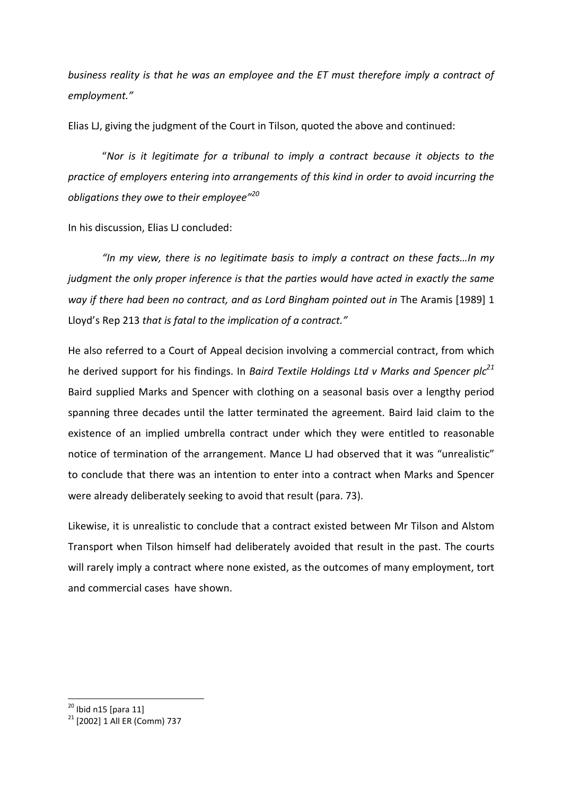business reality is that he was an employee and the ET must therefore imply a contract of employment."

Elias LJ, giving the judgment of the Court in Tilson, quoted the above and continued:

 "Nor is it legitimate for a tribunal to imply a contract because it objects to the practice of employers entering into arrangements of this kind in order to avoid incurring the obligations they owe to their employee $"^{20}$ 

In his discussion, Elias LJ concluded:

"In my view, there is no legitimate basis to imply a contract on these facts…In my judgment the only proper inference is that the parties would have acted in exactly the same way if there had been no contract, and as Lord Bingham pointed out in The Aramis [1989] 1 Lloyd's Rep 213 that is fatal to the implication of a contract."

He also referred to a Court of Appeal decision involving a commercial contract, from which he derived support for his findings. In Baird Textile Holdings Ltd v Marks and Spencer  $plc^{21}$ Baird supplied Marks and Spencer with clothing on a seasonal basis over a lengthy period spanning three decades until the latter terminated the agreement. Baird laid claim to the existence of an implied umbrella contract under which they were entitled to reasonable notice of termination of the arrangement. Mance LJ had observed that it was "unrealistic" to conclude that there was an intention to enter into a contract when Marks and Spencer were already deliberately seeking to avoid that result (para. 73).

Likewise, it is unrealistic to conclude that a contract existed between Mr Tilson and Alstom Transport when Tilson himself had deliberately avoided that result in the past. The courts will rarely imply a contract where none existed, as the outcomes of many employment, tort and commercial cases have shown.

 $20$  Ibid n15 [para 11]

<sup>21</sup> [2002] 1 All ER (Comm) 737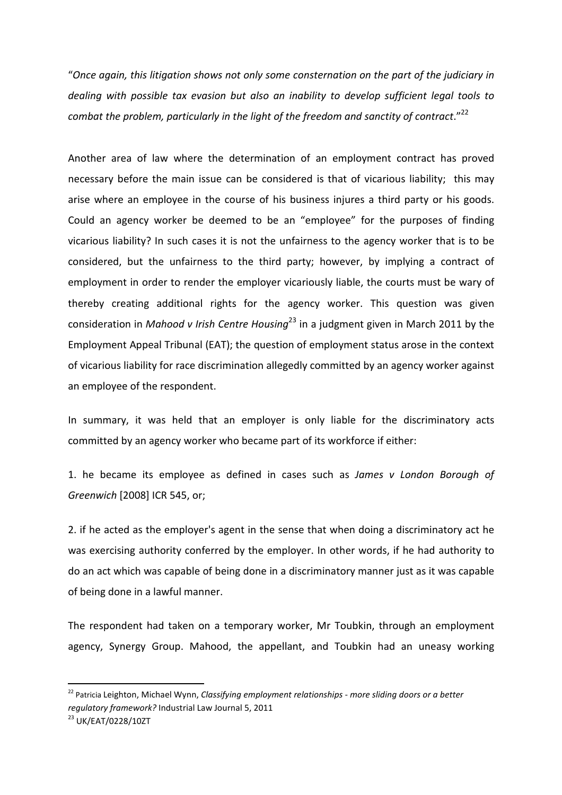"Once again, this litigation shows not only some consternation on the part of the judiciary in dealing with possible tax evasion but also an inability to develop sufficient legal tools to combat the problem, particularly in the light of the freedom and sanctity of contract." $^{22}$ 

Another area of law where the determination of an employment contract has proved necessary before the main issue can be considered is that of vicarious liability; this may arise where an employee in the course of his business injures a third party or his goods. Could an agency worker be deemed to be an "employee" for the purposes of finding vicarious liability? In such cases it is not the unfairness to the agency worker that is to be considered, but the unfairness to the third party; however, by implying a contract of employment in order to render the employer vicariously liable, the courts must be wary of thereby creating additional rights for the agency worker. This question was given consideration in Mahood v Irish Centre Housing<sup>23</sup> in a judgment given in March 2011 by the Employment Appeal Tribunal (EAT); the question of employment status arose in the context of vicarious liability for race discrimination allegedly committed by an agency worker against an employee of the respondent.

In summary, it was held that an employer is only liable for the discriminatory acts committed by an agency worker who became part of its workforce if either:

1. he became its employee as defined in cases such as James v London Borough of Greenwich [2008] ICR 545, or;

2. if he acted as the employer's agent in the sense that when doing a discriminatory act he was exercising authority conferred by the employer. In other words, if he had authority to do an act which was capable of being done in a discriminatory manner just as it was capable of being done in a lawful manner.

The respondent had taken on a temporary worker, Mr Toubkin, through an employment agency, Synergy Group. Mahood, the appellant, and Toubkin had an uneasy working

<sup>&</sup>lt;sup>22</sup> Patricia Leighton, Michael Wynn, Classifying employment relationships - more sliding doors or a better regulatory framework? Industrial Law Journal 5, 2011

<sup>23</sup> UK/EAT/0228/10ZT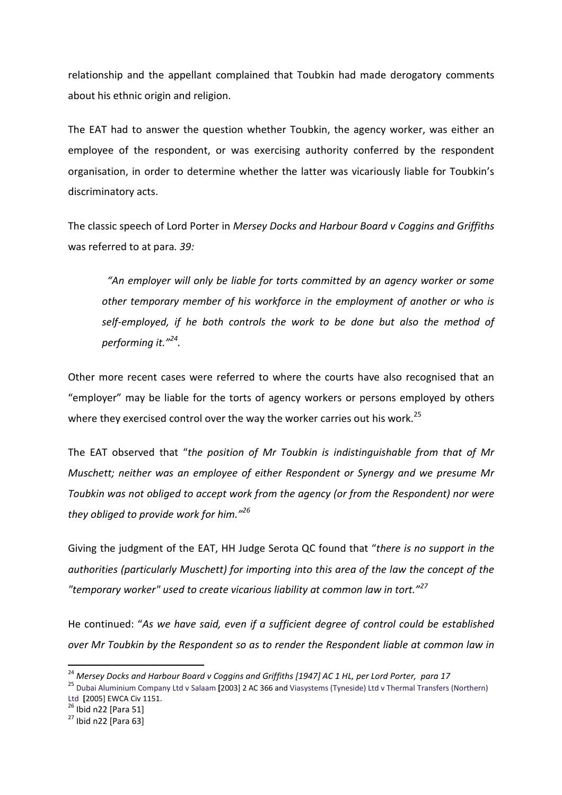relationship and the appellant complained that Toubkin had made derogatory comments about his ethnic origin and religion.

The EAT had to answer the question whether Toubkin, the agency worker, was either an employee of the respondent, or was exercising authority conferred by the respondent organisation, in order to determine whether the latter was vicariously liable for Toubkin's discriminatory acts.

The classic speech of Lord Porter in Mersey Docks and Harbour Board v Coggins and Griffiths was referred to at para. 39:

 "An employer will only be liable for torts committed by an agency worker or some other temporary member of his workforce in the employment of another or who is self-employed, if he both controls the work to be done but also the method of performing it."<sup>24</sup>.

Other more recent cases were referred to where the courts have also recognised that an "employer" may be liable for the torts of agency workers or persons employed by others where they exercised control over the way the worker carries out his work.<sup>25</sup>

The EAT observed that "the position of Mr Toubkin is indistinguishable from that of Mr Muschett; neither was an employee of either Respondent or Synergy and we presume Mr Toubkin was not obliged to accept work from the agency (or from the Respondent) nor were they obliged to provide work for him. $"^{26}$ 

Giving the judgment of the EAT, HH Judge Serota QC found that "there is no support in the authorities (particularly Muschett) for importing into this area of the law the concept of the "temporary worker" used to create vicarious liability at common law in tort."<sup>27</sup>

He continued: "As we have said, even if a sufficient degree of control could be established over Mr Toubkin by the Respondent so as to render the Respondent liable at common law in

<sup>&</sup>lt;sup>24</sup> Mersey Docks and Harbour Board v Coggins and Griffiths [1947] AC 1 HL, per Lord Porter, para 17

<sup>25</sup> Dubai Aluminium Company Ltd v Salaam [2003] 2 AC 366 and Viasystems (Tyneside) Ltd v Thermal Transfers (Northern) Ltd [2005] EWCA Civ 1151.

<sup>26</sup> Ibid n22 [Para 51]

 $27$  Ibid n22 [Para 63]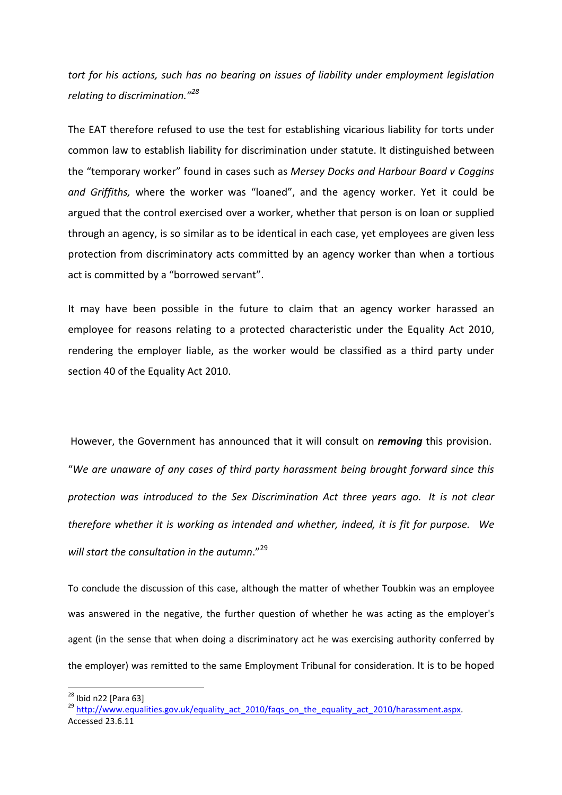tort for his actions, such has no bearing on issues of liability under employment legislation relating to discrimination." $^{28}$ 

The EAT therefore refused to use the test for establishing vicarious liability for torts under common law to establish liability for discrimination under statute. It distinguished between the "temporary worker" found in cases such as Mersey Docks and Harbour Board v Coggins and Griffiths, where the worker was "loaned", and the agency worker. Yet it could be argued that the control exercised over a worker, whether that person is on loan or supplied through an agency, is so similar as to be identical in each case, yet employees are given less protection from discriminatory acts committed by an agency worker than when a tortious act is committed by a "borrowed servant".

It may have been possible in the future to claim that an agency worker harassed an employee for reasons relating to a protected characteristic under the Equality Act 2010, rendering the employer liable, as the worker would be classified as a third party under section 40 of the Equality Act 2010.

However, the Government has announced that it will consult on *removing* this provision. "We are unaware of any cases of third party harassment being brought forward since this protection was introduced to the Sex Discrimination Act three years ago. It is not clear therefore whether it is working as intended and whether, indeed, it is fit for purpose. We will start the consultation in the autumn." $^{29}$ 

To conclude the discussion of this case, although the matter of whether Toubkin was an employee was answered in the negative, the further question of whether he was acting as the employer's agent (in the sense that when doing a discriminatory act he was exercising authority conferred by the employer) was remitted to the same Employment Tribunal for consideration. It is to be hoped

<sup>&</sup>lt;sup>28</sup> Ibid n22 [Para 63]

 $^{29}$  http://www.equalities.gov.uk/equality act 2010/faqs on the equality act 2010/harassment.aspx. Accessed 23.6.11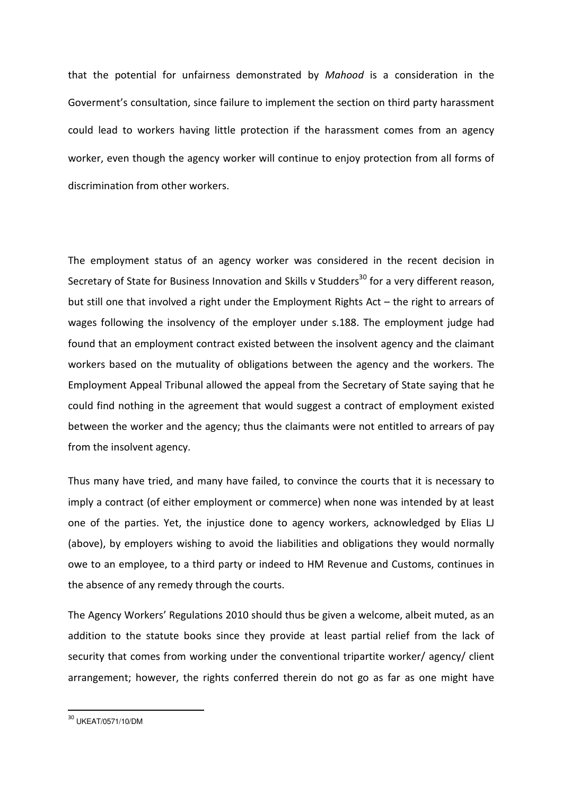that the potential for unfairness demonstrated by Mahood is a consideration in the Goverment's consultation, since failure to implement the section on third party harassment could lead to workers having little protection if the harassment comes from an agency worker, even though the agency worker will continue to enjoy protection from all forms of discrimination from other workers.

The employment status of an agency worker was considered in the recent decision in Secretary of State for Business Innovation and Skills v Studders<sup>30</sup> for a very different reason. but still one that involved a right under the Employment Rights Act – the right to arrears of wages following the insolvency of the employer under s.188. The employment judge had found that an employment contract existed between the insolvent agency and the claimant workers based on the mutuality of obligations between the agency and the workers. The Employment Appeal Tribunal allowed the appeal from the Secretary of State saying that he could find nothing in the agreement that would suggest a contract of employment existed between the worker and the agency; thus the claimants were not entitled to arrears of pay from the insolvent agency.

Thus many have tried, and many have failed, to convince the courts that it is necessary to imply a contract (of either employment or commerce) when none was intended by at least one of the parties. Yet, the injustice done to agency workers, acknowledged by Elias LJ (above), by employers wishing to avoid the liabilities and obligations they would normally owe to an employee, to a third party or indeed to HM Revenue and Customs, continues in the absence of any remedy through the courts.

The Agency Workers' Regulations 2010 should thus be given a welcome, albeit muted, as an addition to the statute books since they provide at least partial relief from the lack of security that comes from working under the conventional tripartite worker/ agency/ client arrangement; however, the rights conferred therein do not go as far as one might have

<sup>30</sup> UKEAT/0571/10/DM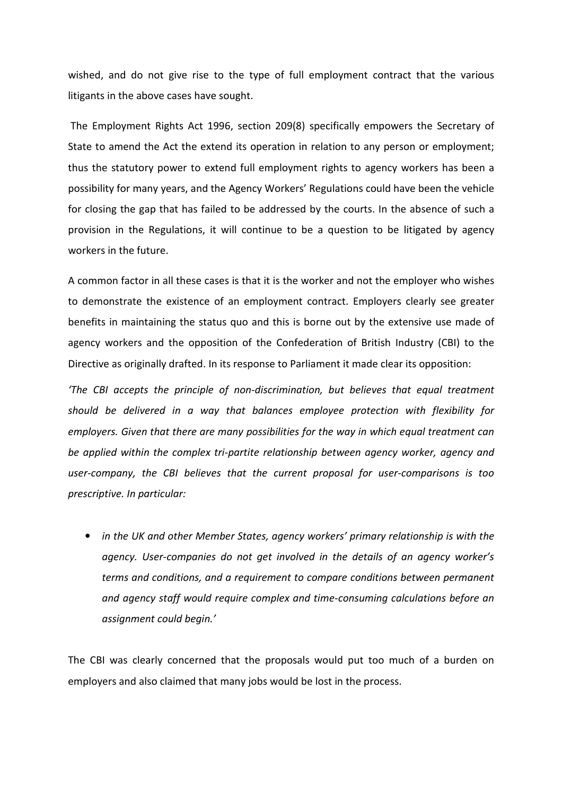wished, and do not give rise to the type of full employment contract that the various litigants in the above cases have sought.

 The Employment Rights Act 1996, section 209(8) specifically empowers the Secretary of State to amend the Act the extend its operation in relation to any person or employment; thus the statutory power to extend full employment rights to agency workers has been a possibility for many years, and the Agency Workers' Regulations could have been the vehicle for closing the gap that has failed to be addressed by the courts. In the absence of such a provision in the Regulations, it will continue to be a question to be litigated by agency workers in the future.

A common factor in all these cases is that it is the worker and not the employer who wishes to demonstrate the existence of an employment contract. Employers clearly see greater benefits in maintaining the status quo and this is borne out by the extensive use made of agency workers and the opposition of the Confederation of British Industry (CBI) to the Directive as originally drafted. In its response to Parliament it made clear its opposition:

'The CBI accepts the principle of non-discrimination, but believes that equal treatment should be delivered in a way that balances employee protection with flexibility for employers. Given that there are many possibilities for the way in which equal treatment can be applied within the complex tri-partite relationship between agency worker, agency and user-company, the CBI believes that the current proposal for user-comparisons is too prescriptive. In particular:

• in the UK and other Member States, agency workers' primary relationship is with the agency. User-companies do not get involved in the details of an agency worker's terms and conditions, and a requirement to compare conditions between permanent and agency staff would require complex and time-consuming calculations before an assignment could begin.'

The CBI was clearly concerned that the proposals would put too much of a burden on employers and also claimed that many jobs would be lost in the process.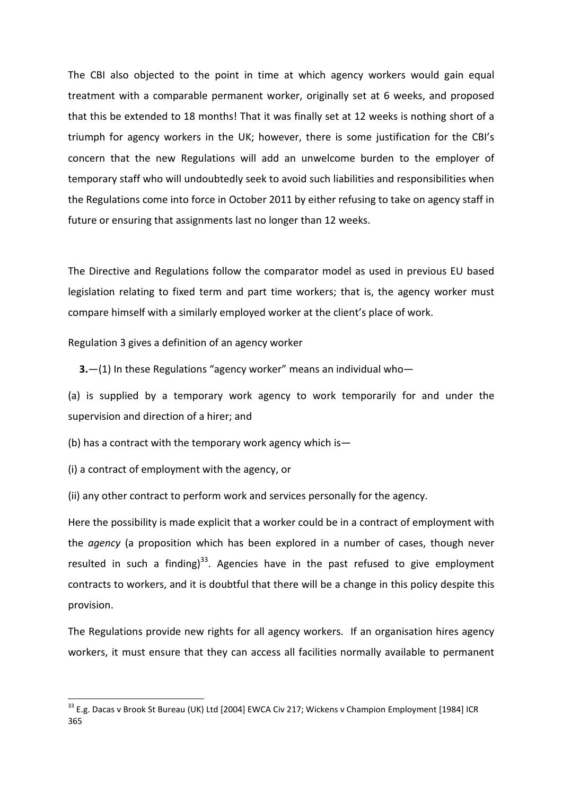The CBI also objected to the point in time at which agency workers would gain equal treatment with a comparable permanent worker, originally set at 6 weeks, and proposed that this be extended to 18 months! That it was finally set at 12 weeks is nothing short of a triumph for agency workers in the UK; however, there is some justification for the CBI's concern that the new Regulations will add an unwelcome burden to the employer of temporary staff who will undoubtedly seek to avoid such liabilities and responsibilities when the Regulations come into force in October 2011 by either refusing to take on agency staff in future or ensuring that assignments last no longer than 12 weeks.

The Directive and Regulations follow the comparator model as used in previous EU based legislation relating to fixed term and part time workers; that is, the agency worker must compare himself with a similarly employed worker at the client's place of work.

Regulation 3 gives a definition of an agency worker

 $3.$ —(1) In these Regulations "agency worker" means an individual who—

(a) is supplied by a temporary work agency to work temporarily for and under the supervision and direction of a hirer; and

(b) has a contract with the temporary work agency which is—

(i) a contract of employment with the agency, or

 $\overline{\phantom{0}}$ 

(ii) any other contract to perform work and services personally for the agency.

Here the possibility is made explicit that a worker could be in a contract of employment with the *agency* (a proposition which has been explored in a number of cases, though never resulted in such a finding<sup>33</sup>. Agencies have in the past refused to give employment contracts to workers, and it is doubtful that there will be a change in this policy despite this provision.

The Regulations provide new rights for all agency workers. If an organisation hires agency workers, it must ensure that they can access all facilities normally available to permanent

 $33$  E.g. Dacas v Brook St Bureau (UK) Ltd [2004] EWCA Civ 217; Wickens v Champion Employment [1984] ICR 365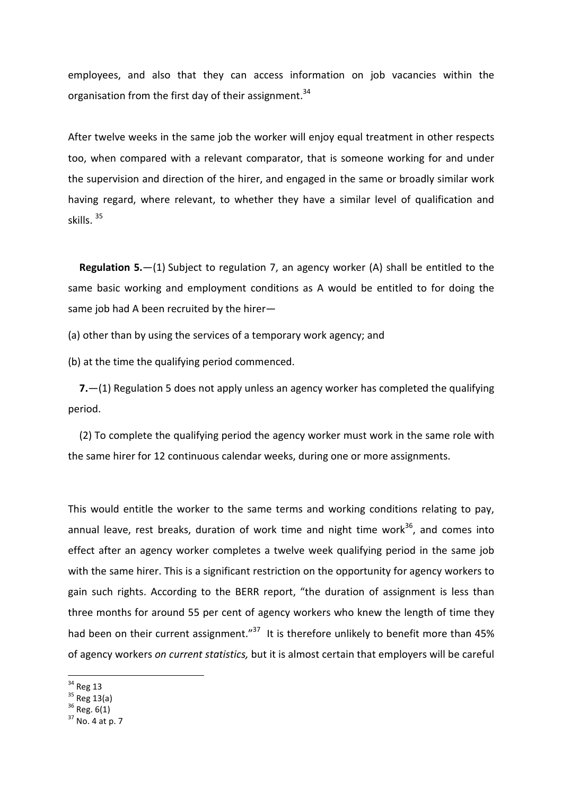employees, and also that they can access information on job vacancies within the organisation from the first day of their assignment.<sup>34</sup>

After twelve weeks in the same job the worker will enjoy equal treatment in other respects too, when compared with a relevant comparator, that is someone working for and under the supervision and direction of the hirer, and engaged in the same or broadly similar work having regard, where relevant, to whether they have a similar level of qualification and skills. <sup>35</sup>

**Regulation 5.—(1)** Subject to regulation 7, an agency worker (A) shall be entitled to the same basic working and employment conditions as A would be entitled to for doing the same job had A been recruited by the hirer—

(a) other than by using the services of a temporary work agency; and

(b) at the time the qualifying period commenced.

7.—(1) Regulation 5 does not apply unless an agency worker has completed the qualifying period.

(2) To complete the qualifying period the agency worker must work in the same role with the same hirer for 12 continuous calendar weeks, during one or more assignments.

This would entitle the worker to the same terms and working conditions relating to pay, annual leave, rest breaks, duration of work time and night time work $^{36}$ , and comes into effect after an agency worker completes a twelve week qualifying period in the same job with the same hirer. This is a significant restriction on the opportunity for agency workers to gain such rights. According to the BERR report, "the duration of assignment is less than three months for around 55 per cent of agency workers who knew the length of time they had been on their current assignment." $37$  It is therefore unlikely to benefit more than 45% of agency workers on current statistics, but it is almost certain that employers will be careful

 $34$  Reg 13

 $35$  Reg 13(a)

 $36 \text{neg.} 6(1)$ 

 $37$  No. 4 at p. 7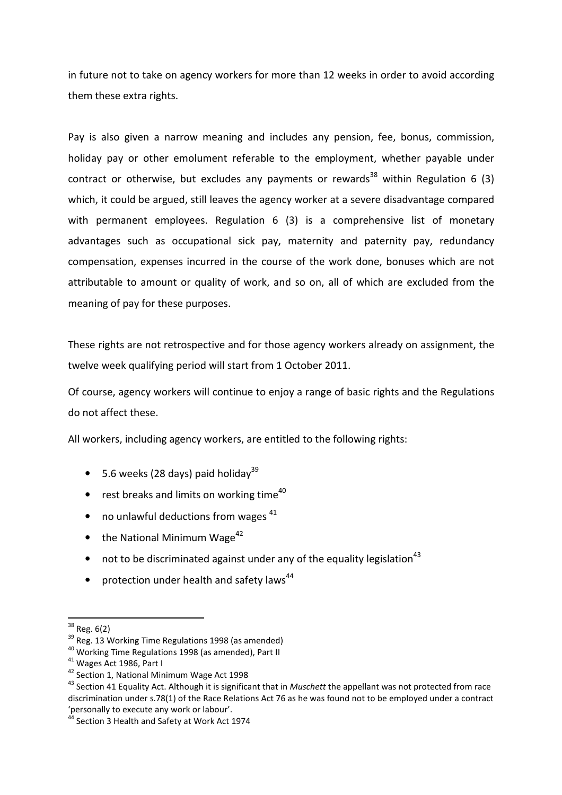in future not to take on agency workers for more than 12 weeks in order to avoid according them these extra rights.

Pay is also given a narrow meaning and includes any pension, fee, bonus, commission, holiday pay or other emolument referable to the employment, whether payable under contract or otherwise, but excludes any payments or rewards<sup>38</sup> within Regulation 6 (3) which, it could be argued, still leaves the agency worker at a severe disadvantage compared with permanent employees. Regulation 6 (3) is a comprehensive list of monetary advantages such as occupational sick pay, maternity and paternity pay, redundancy compensation, expenses incurred in the course of the work done, bonuses which are not attributable to amount or quality of work, and so on, all of which are excluded from the meaning of pay for these purposes.

These rights are not retrospective and for those agency workers already on assignment, the twelve week qualifying period will start from 1 October 2011.

Of course, agency workers will continue to enjoy a range of basic rights and the Regulations do not affect these.

All workers, including agency workers, are entitled to the following rights:

- 5.6 weeks (28 days) paid holiday<sup>39</sup>
- rest breaks and limits on working time<sup>40</sup>
- no unlawful deductions from wages  $41$
- the National Minimum Wage<sup>42</sup>
- not to be discriminated against under any of the equality legislation<sup>43</sup>
- protection under health and safety laws<sup>44</sup>

l

 $38$  Reg. 6(2)

<sup>&</sup>lt;sup>39</sup> Reg. 13 Working Time Regulations 1998 (as amended)

<sup>40</sup> Working Time Regulations 1998 (as amended), Part II

<sup>&</sup>lt;sup>41</sup> Wages Act 1986, Part I

<sup>&</sup>lt;sup>42</sup> Section 1, National Minimum Wage Act 1998

 $43$  Section 41 Equality Act. Although it is significant that in *Muschett* the appellant was not protected from race discrimination under s.78(1) of the Race Relations Act 76 as he was found not to be employed under a contract 'personally to execute any work or labour'.

<sup>44</sup> Section 3 Health and Safety at Work Act 1974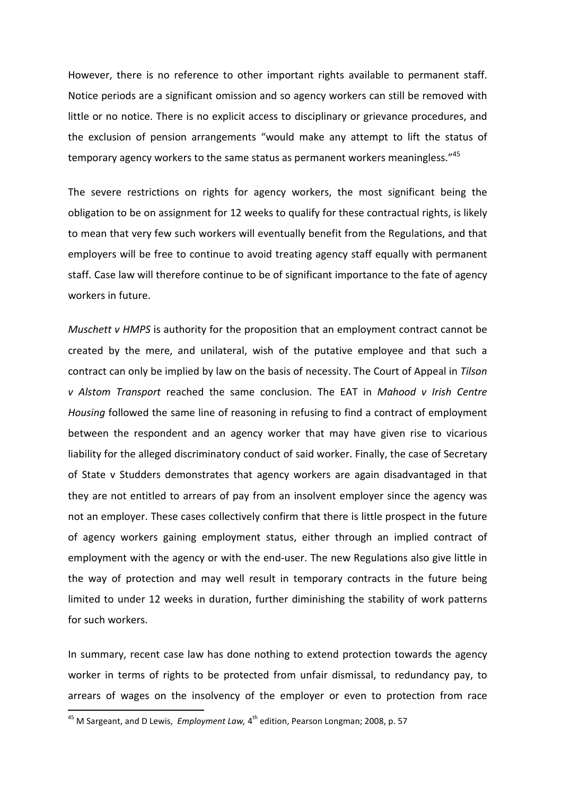However, there is no reference to other important rights available to permanent staff. Notice periods are a significant omission and so agency workers can still be removed with little or no notice. There is no explicit access to disciplinary or grievance procedures, and the exclusion of pension arrangements "would make any attempt to lift the status of temporary agency workers to the same status as permanent workers meaningless."<sup>45</sup>

The severe restrictions on rights for agency workers, the most significant being the obligation to be on assignment for 12 weeks to qualify for these contractual rights, is likely to mean that very few such workers will eventually benefit from the Regulations, and that employers will be free to continue to avoid treating agency staff equally with permanent staff. Case law will therefore continue to be of significant importance to the fate of agency workers in future.

Muschett v HMPS is authority for the proposition that an employment contract cannot be created by the mere, and unilateral, wish of the putative employee and that such a contract can only be implied by law on the basis of necessity. The Court of Appeal in Tilson v Alstom Transport reached the same conclusion. The EAT in Mahood v Irish Centre Housing followed the same line of reasoning in refusing to find a contract of employment between the respondent and an agency worker that may have given rise to vicarious liability for the alleged discriminatory conduct of said worker. Finally, the case of Secretary of State v Studders demonstrates that agency workers are again disadvantaged in that they are not entitled to arrears of pay from an insolvent employer since the agency was not an employer. These cases collectively confirm that there is little prospect in the future of agency workers gaining employment status, either through an implied contract of employment with the agency or with the end-user. The new Regulations also give little in the way of protection and may well result in temporary contracts in the future being limited to under 12 weeks in duration, further diminishing the stability of work patterns for such workers.

In summary, recent case law has done nothing to extend protection towards the agency worker in terms of rights to be protected from unfair dismissal, to redundancy pay, to arrears of wages on the insolvency of the employer or even to protection from race

<sup>&</sup>lt;sup>45</sup> M Sargeant, and D Lewis, Employment Law, 4<sup>th</sup> edition, Pearson Longman; 2008, p. 57